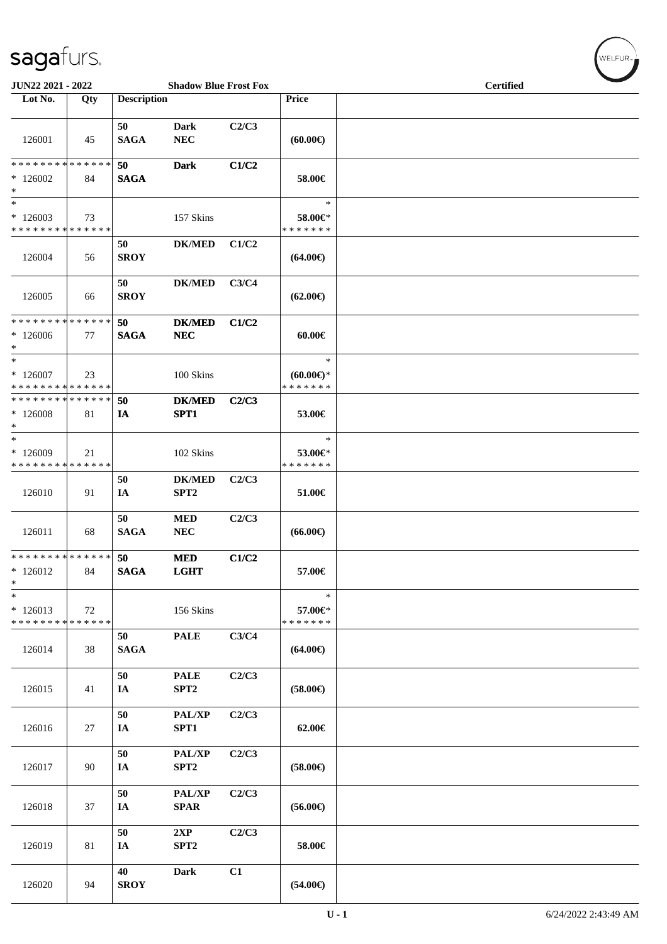| JUN22 2021 - 2022                                  |     |                    | <b>Shadow Blue Frost Fox</b>      |       |                                                   | <b>Certified</b> |
|----------------------------------------------------|-----|--------------------|-----------------------------------|-------|---------------------------------------------------|------------------|
| Lot No.                                            | Qty | <b>Description</b> |                                   |       | Price                                             |                  |
| 126001                                             | 45  | 50<br><b>SAGA</b>  | Dark<br><b>NEC</b>                | C2/C3 | (60.00)                                           |                  |
| * * * * * * * * * * * * * *<br>$*126002$<br>$\ast$ | 84  | 50<br><b>SAGA</b>  | <b>Dark</b>                       | C1/C2 | 58.00€                                            |                  |
| $\ast$<br>$*126003$<br>* * * * * * * * * * * * * * | 73  |                    | 157 Skins                         |       | $\ast$<br>58.00€*<br>* * * * * * *                |                  |
| 126004                                             | 56  | 50<br><b>SROY</b>  | <b>DK/MED</b>                     | C1/C2 | $(64.00\epsilon)$                                 |                  |
| 126005                                             | 66  | 50<br><b>SROY</b>  | <b>DK/MED</b>                     | C3/C4 | $(62.00\epsilon)$                                 |                  |
| * * * * * * * * * * * * * *<br>$*126006$<br>$\ast$ | 77  | 50<br><b>SAGA</b>  | <b>DK/MED</b><br>NEC              | C1/C2 | $60.00 \in$                                       |                  |
| $\ast$<br>$*126007$<br>* * * * * * * * * * * * * * | 23  |                    | 100 Skins                         |       | $\ast$<br>$(60.00\varepsilon)$ *<br>* * * * * * * |                  |
| * * * * * * * * * * * * * *<br>$*126008$<br>$\ast$ | 81  | 50<br>IA           | <b>DK/MED</b><br>SPT1             | C2/C3 | 53.00€                                            |                  |
| $\ast$<br>* 126009<br>* * * * * * * * * * * * * *  | 21  |                    | 102 Skins                         |       | $\ast$<br>53.00€*<br>* * * * * * *                |                  |
| 126010                                             | 91  | 50<br>IA           | <b>DK/MED</b><br>SPT <sub>2</sub> | C2/C3 | 51.00€                                            |                  |
| 126011                                             | 68  | 50<br><b>SAGA</b>  | <b>MED</b><br>NEC                 | C2/C3 | $(66.00\epsilon)$                                 |                  |
| **************<br>$*126012$<br>$\ast$              | 84  | 50<br><b>SAGA</b>  | <b>MED</b><br><b>LGHT</b>         | C1/C2 | 57.00€                                            |                  |
| $\ast$<br>$*126013$<br>* * * * * * * * * * * * * * | 72  |                    | 156 Skins                         |       | $\ast$<br>57.00€*<br>* * * * * * *                |                  |
| 126014                                             | 38  | 50<br><b>SAGA</b>  | <b>PALE</b>                       | C3/C4 | $(64.00\epsilon)$                                 |                  |
| 126015                                             | 41  | 50<br>IA           | <b>PALE</b><br>SPT2               | C2/C3 | $(58.00\in)$                                      |                  |
| 126016                                             | 27  | 50<br>IA           | PAL/XP<br>SPT1                    | C2/C3 | $62.00 \in$                                       |                  |
| 126017                                             | 90  | 50<br>IA           | PAL/XP<br>SPT2                    | C2/C3 | $(58.00\epsilon)$                                 |                  |
| 126018                                             | 37  | 50<br>IA           | PAL/XP<br><b>SPAR</b>             | C2/C3 | $(56.00\epsilon)$                                 |                  |
| 126019                                             | 81  | 50<br>IA           | 2XP<br>SPT <sub>2</sub>           | C2/C3 | 58.00€                                            |                  |
| 126020                                             | 94  | 40<br><b>SROY</b>  | <b>Dark</b>                       | C1    | $(54.00\epsilon)$                                 |                  |

 $w$ elfur<sub>»</sub>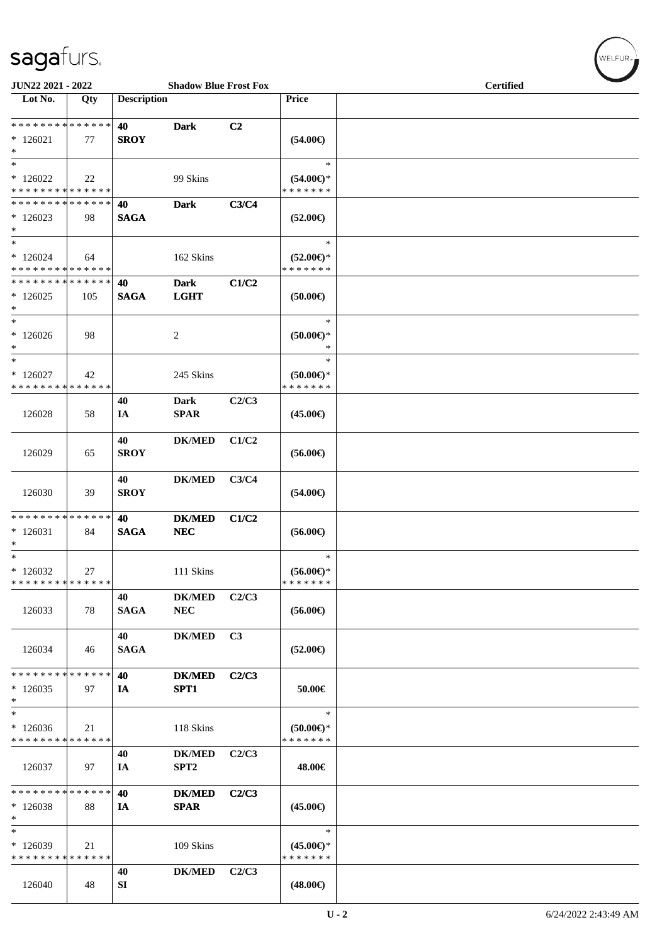| JUN22 2021 - 2022                                    |                   |                    | <b>Shadow Blue Frost Fox</b>      |                |                                                | <b>Certified</b> |  |  |  |
|------------------------------------------------------|-------------------|--------------------|-----------------------------------|----------------|------------------------------------------------|------------------|--|--|--|
| Lot No.                                              | Qty               | <b>Description</b> |                                   |                | <b>Price</b>                                   |                  |  |  |  |
| * * * * * * * * * * * * * *<br>$*126021$<br>$\ast$   | 77                | 40<br><b>SROY</b>  | <b>Dark</b>                       | C2             | $(54.00\epsilon)$                              |                  |  |  |  |
| $\ast$<br>$*126022$<br>* * * * * * * * * * * * * *   | 22                |                    | 99 Skins                          |                | $\ast$<br>$(54.00\in)^\ast$<br>* * * * * * *   |                  |  |  |  |
| * * * * * * * * * * * * * *<br>$*126023$<br>$\ast$   | 98                | 40<br><b>SAGA</b>  | <b>Dark</b>                       | C3/C4          | $(52.00\epsilon)$                              |                  |  |  |  |
| $\ast$<br>$*126024$<br>* * * * * * * * * * * * * *   | 64                |                    | 162 Skins                         |                | $\ast$<br>$(52.00\epsilon)$ *<br>* * * * * * * |                  |  |  |  |
| * * * * * * * * * * * * * *<br>$*126025$<br>$*$      | 105               | 40<br><b>SAGA</b>  | <b>Dark</b><br><b>LGHT</b>        | C1/C2          | (50.00)                                        |                  |  |  |  |
| $*$<br>$*126026$<br>$\ast$                           | 98                |                    | 2                                 |                | $\ast$<br>$(50.00ε)$ *<br>$\ast$               |                  |  |  |  |
| $\ast$<br>$*126027$<br>* * * * * * * * * * * * * *   | 42                |                    | 245 Skins                         |                | $\ast$<br>$(50.00 \in )^*$<br>* * * * * * *    |                  |  |  |  |
| 126028                                               | 58                | 40<br>IA           | <b>Dark</b><br><b>SPAR</b>        | C2/C3          | $(45.00\epsilon)$                              |                  |  |  |  |
| 126029                                               | 65                | 40<br><b>SROY</b>  | <b>DK/MED</b>                     | C1/C2          | $(56.00\epsilon)$                              |                  |  |  |  |
| 126030                                               | 39                | 40<br><b>SROY</b>  | <b>DK/MED</b>                     | C3/C4          | $(54.00\epsilon)$                              |                  |  |  |  |
| * * * * * * * * * * * * * * *<br>$*126031$<br>$\ast$ | 84                | 40<br><b>SAGA</b>  | <b>DK/MED</b><br>NEC              | C1/C2          | $(56.00\epsilon)$                              |                  |  |  |  |
| $*$<br>$*126032$<br>* * * * * * * * * * * * * *      | 27                |                    | 111 Skins                         |                | $\ast$<br>$(56.00ε)$ *<br>* * * * * * *        |                  |  |  |  |
| 126033                                               | 78                | 40<br><b>SAGA</b>  | <b>DK/MED</b><br>${\bf NEC}$      | C2/C3          | $(56.00\epsilon)$                              |                  |  |  |  |
| 126034                                               | 46                | 40<br><b>SAGA</b>  | <b>DK/MED</b>                     | C <sub>3</sub> | $(52.00\epsilon)$                              |                  |  |  |  |
| * * * * * * * *<br>$*126035$<br>$*$                  | * * * * * *<br>97 | 40<br>IA           | <b>DK/MED</b><br>SPT1             | C2/C3          | 50.00€                                         |                  |  |  |  |
| $\ast$<br>$*126036$<br>* * * * * * * * * * * * * *   | 21                |                    | 118 Skins                         |                | $\ast$<br>$(50.00\epsilon)$ *<br>* * * * * * * |                  |  |  |  |
| 126037                                               | 97                | 40<br>IA           | <b>DK/MED</b><br>SPT <sub>2</sub> | C2/C3          | 48.00€                                         |                  |  |  |  |
| * * * * * * * * * * * * * *<br>$*126038$<br>$*$      | 88                | 40<br>IA           | <b>DK/MED</b><br><b>SPAR</b>      | C2/C3          | $(45.00\epsilon)$                              |                  |  |  |  |
| $\ast$<br>$*126039$<br>* * * * * * * * * * * * * *   | 21                |                    | 109 Skins                         |                | $\ast$<br>$(45.00\epsilon)$ *<br>* * * * * * * |                  |  |  |  |
| 126040                                               | 48                | 40<br>SI           | <b>DK/MED</b>                     | C2/C3          | $(48.00\epsilon)$                              |                  |  |  |  |

 $(\forall ELEUR_{\text{max}})$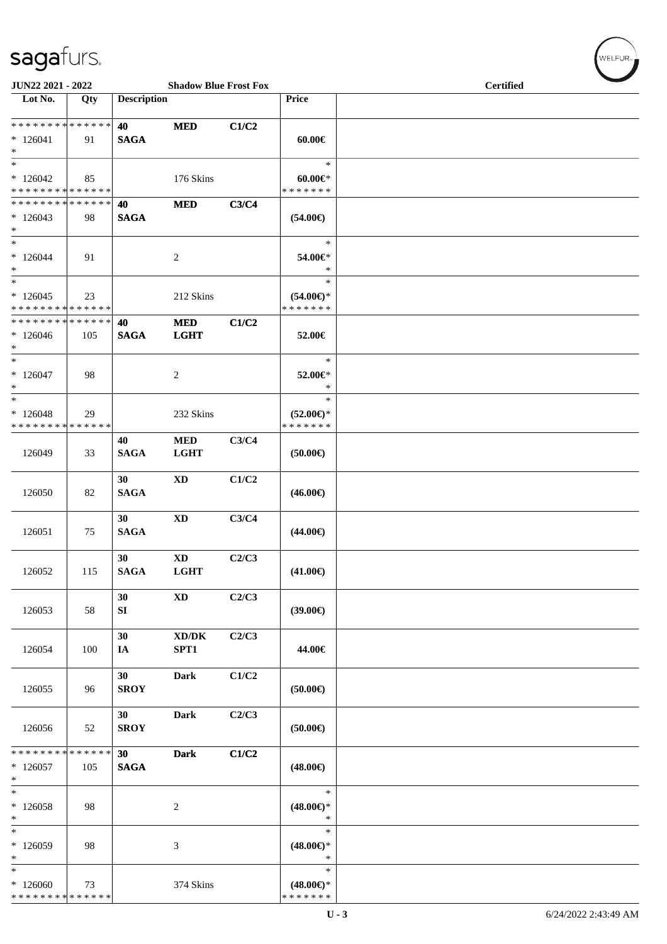| JUN22 2021 - 2022                                                 |     |                    | <b>Shadow Blue Frost Fox</b>                |       |                                                | <b>Certified</b> |
|-------------------------------------------------------------------|-----|--------------------|---------------------------------------------|-------|------------------------------------------------|------------------|
| Lot No.                                                           | Qty | <b>Description</b> |                                             |       | Price                                          |                  |
| * * * * * * * * * * * * * * *<br>$*126041$<br>$*$                 | 91  | 40<br><b>SAGA</b>  | <b>MED</b>                                  | C1/C2 | $60.00 \in$                                    |                  |
| $*$<br>$*126042$<br>* * * * * * * * * * * * * *                   | 85  |                    | 176 Skins                                   |       | $\ast$<br>$60.00 \in$<br>* * * * * * *         |                  |
| * * * * * * * * * * * * * *<br>$*126043$<br>$*$                   | 98  | 40<br><b>SAGA</b>  | <b>MED</b>                                  | C3/C4 | $(54.00\epsilon)$                              |                  |
| $*$<br>$*126044$<br>$*$                                           | 91  |                    | 2                                           |       | $\ast$<br>54.00€*<br>$\ast$                    |                  |
| $\ast$<br>$*126045$<br>* * * * * * * * <mark>* * * * * * *</mark> | 23  |                    | 212 Skins                                   |       | $\ast$<br>$(54.00\epsilon)$ *<br>* * * * * * * |                  |
| * * * * * * * * * * * * * * *<br>$*126046$<br>$*$                 | 105 | 40<br><b>SAGA</b>  | <b>MED</b><br><b>LGHT</b>                   | C1/C2 | 52.00€                                         |                  |
| $*$<br>$*126047$<br>$*$                                           | 98  |                    | 2                                           |       | $\ast$<br>52.00€*<br>$\ast$                    |                  |
| $*$<br>$*126048$<br>* * * * * * * * * * * * * *                   | 29  |                    | 232 Skins                                   |       | $\ast$<br>$(52.00\epsilon)$ *<br>* * * * * * * |                  |
| 126049                                                            | 33  | 40<br><b>SAGA</b>  | $\bf MED$<br><b>LGHT</b>                    | C3/C4 | (50.00)                                        |                  |
| 126050                                                            | 82  | 30<br><b>SAGA</b>  | <b>XD</b>                                   | C1/C2 | $(46.00\epsilon)$                              |                  |
| 126051                                                            | 75  | 30<br><b>SAGA</b>  | <b>XD</b>                                   | C3/C4 | $(44.00\epsilon)$                              |                  |
| 126052                                                            | 115 | 30<br><b>SAGA</b>  | $\mathbf{X}\mathbf{D}$<br><b>LGHT</b>       | C2/C3 | $(41.00\in)$                                   |                  |
| 126053                                                            | 58  | 30<br>${\bf SI}$   | <b>XD</b>                                   | C2/C3 | (39.00)                                        |                  |
| 126054                                                            | 100 | 30<br>IA           | $\bold{X}\bold{D}/\bold{D}\bold{K}$<br>SPT1 | C2/C3 | 44.00€                                         |                  |
| 126055                                                            | 96  | 30<br><b>SROY</b>  | <b>Dark</b>                                 | C1/C2 | (50.00)                                        |                  |
| 126056                                                            | 52  | 30<br><b>SROY</b>  | Dark                                        | C2/C3 | (50.00)                                        |                  |
| ******** <mark>******</mark><br>$*126057$<br>$\ast$               | 105 | 30<br><b>SAGA</b>  | <b>Dark</b>                                 | C1/C2 | $(48.00\epsilon)$                              |                  |
| $*$<br>$*126058$<br>$\ast$                                        | 98  |                    | 2                                           |       | $\ast$<br>$(48.00\epsilon)$ *<br>$\ast$        |                  |
| $\ast$<br>$*126059$<br>$\ast$                                     | 98  |                    | 3                                           |       | $\ast$<br>$(48.00\epsilon)$ *<br>$\ast$        |                  |
| $\ast$<br>$*126060$<br>* * * * * * * * * * * * * *                | 73  |                    | 374 Skins                                   |       | $\ast$<br>$(48.00\epsilon)$ *<br>* * * * * * * |                  |

 $(w$ ELFUR<sub>T</sub>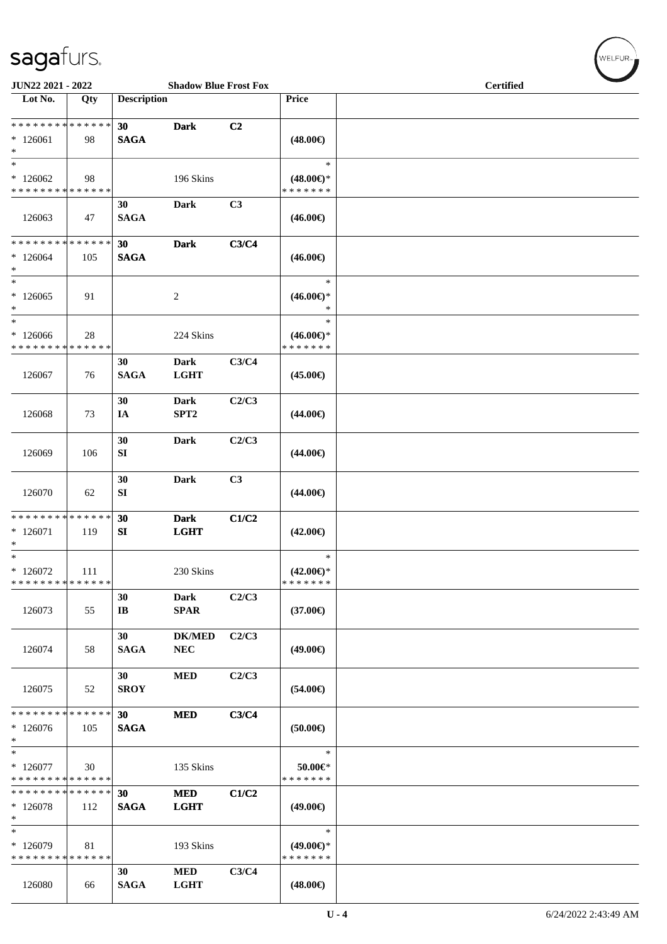| JUN22 2021 - 2022                                                 |     |                              | <b>Shadow Blue Frost Fox</b> |       |                                                | <b>Certified</b> |  |  |
|-------------------------------------------------------------------|-----|------------------------------|------------------------------|-------|------------------------------------------------|------------------|--|--|
| Lot No.                                                           | Qty | <b>Description</b>           |                              |       | Price                                          |                  |  |  |
| * * * * * * * * <mark>* * * * * * *</mark><br>$*126061$<br>$\ast$ | 98  | 30<br><b>SAGA</b>            | <b>Dark</b>                  | C2    | $(48.00\epsilon)$                              |                  |  |  |
| $\ast$<br>$*126062$<br>* * * * * * * * * * * * * *                | 98  |                              | 196 Skins                    |       | $\ast$<br>$(48.00\epsilon)$ *<br>* * * * * * * |                  |  |  |
| 126063                                                            | 47  | 30<br><b>SAGA</b>            | Dark                         | C3    | $(46.00\epsilon)$                              |                  |  |  |
| * * * * * * * * <mark>* * * * * * *</mark><br>$*126064$<br>$\ast$ | 105 | 30<br><b>SAGA</b>            | <b>Dark</b>                  | C3/C4 | $(46.00\epsilon)$                              |                  |  |  |
| $\ast$<br>$*126065$<br>$\ast$                                     | 91  |                              | $\overline{c}$               |       | $\ast$<br>$(46.00\epsilon)$ *<br>$\ast$        |                  |  |  |
| $\ast$<br>* 126066<br>* * * * * * * * * * * * * *                 | 28  |                              | 224 Skins                    |       | $\ast$<br>$(46.00\epsilon)$ *<br>* * * * * * * |                  |  |  |
| 126067                                                            | 76  | 30<br><b>SAGA</b>            | <b>Dark</b><br><b>LGHT</b>   | C3/C4 | $(45.00\epsilon)$                              |                  |  |  |
| 126068                                                            | 73  | 30<br>IA                     | Dark<br>SPT <sub>2</sub>     | C2/C3 | $(44.00\epsilon)$                              |                  |  |  |
| 126069                                                            | 106 | 30<br>SI                     | <b>Dark</b>                  | C2/C3 | $(44.00\epsilon)$                              |                  |  |  |
| 126070                                                            | 62  | 30<br>${\bf S}{\bf I}$       | <b>Dark</b>                  | C3    | $(44.00\epsilon)$                              |                  |  |  |
| * * * * * * * * * * * * * *<br>$* 126071$<br>$\ast$               | 119 | 30<br>SI                     | <b>Dark</b><br><b>LGHT</b>   | C1/C2 | $(42.00\epsilon)$                              |                  |  |  |
| $*$<br>$*126072$<br>* * * * * * * * * * * * * *                   | 111 |                              | 230 Skins                    |       | $\ast$<br>$(42.00\epsilon)$ *<br>*******       |                  |  |  |
| 126073                                                            | 55  | 30<br>$\mathbf{I}\mathbf{B}$ | <b>Dark</b><br><b>SPAR</b>   | C2/C3 | $(37.00\epsilon)$                              |                  |  |  |
| 126074                                                            | 58  | 30<br><b>SAGA</b>            | <b>DK/MED</b><br>NEC         | C2/C3 | $(49.00\epsilon)$                              |                  |  |  |
| 126075                                                            | 52  | 30<br><b>SROY</b>            | <b>MED</b>                   | C2/C3 | $(54.00\epsilon)$                              |                  |  |  |
| * * * * * * * * <mark>* * * * * *</mark><br>$*126076$<br>$\ast$   | 105 | 30<br><b>SAGA</b>            | <b>MED</b>                   | C3/C4 | $(50.00\epsilon)$                              |                  |  |  |
| $\ast$<br>$*126077$<br>* * * * * * * * * * * * * *                | 30  |                              | 135 Skins                    |       | $\ast$<br>50.00€*<br>* * * * * * *             |                  |  |  |
| * * * * * * * * * * * * * *<br>$*126078$<br>$\ast$                | 112 | 30<br><b>SAGA</b>            | <b>MED</b><br><b>LGHT</b>    | C1/C2 | $(49.00\epsilon)$                              |                  |  |  |
| $*$<br>* 126079<br>* * * * * * * * * * * * * *                    | 81  |                              | 193 Skins                    |       | $\ast$<br>$(49.00\epsilon)$ *<br>* * * * * * * |                  |  |  |
| 126080                                                            | 66  | 30<br><b>SAGA</b>            | <b>MED</b><br><b>LGHT</b>    | C3/C4 | $(48.00\epsilon)$                              |                  |  |  |

 $(\forall ELEUR_{\text{max}})$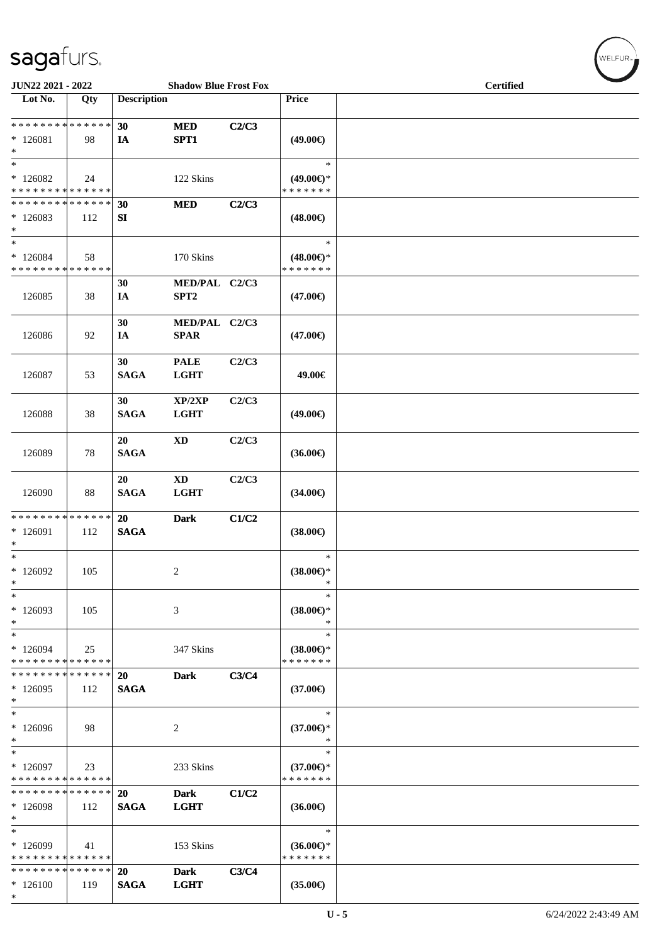| JUN22 2021 - 2022                                  |     |                          | <b>Shadow Blue Frost Fox</b>          |       |                                                | <b>Certified</b> |
|----------------------------------------------------|-----|--------------------------|---------------------------------------|-------|------------------------------------------------|------------------|
| Lot No.                                            | Qty | <b>Description</b>       |                                       |       | Price                                          |                  |
| * * * * * * * * * * * * * *<br>$*126081$<br>$\ast$ | 98  | 30<br>IA                 | <b>MED</b><br>SPT1                    | C2/C3 | $(49.00\epsilon)$                              |                  |
| $\ast$<br>$*126082$<br>* * * * * * * * * * * * * * | 24  |                          | 122 Skins                             |       | $\ast$<br>$(49.00\epsilon)$ *<br>* * * * * * * |                  |
| * * * * * * * * * * * * * *<br>$*126083$<br>$\ast$ | 112 | 30<br>SI                 | <b>MED</b>                            | C2/C3 | $(48.00\epsilon)$                              |                  |
| $\ast$<br>$*126084$<br>* * * * * * * * * * * * * * | 58  |                          | 170 Skins                             |       | $\ast$<br>$(48.00\epsilon)$ *<br>* * * * * * * |                  |
| 126085                                             | 38  | 30<br>IA                 | MED/PAL C2/C3<br>SPT2                 |       | $(47.00\epsilon)$                              |                  |
| 126086                                             | 92  | 30<br>IA                 | MED/PAL C2/C3<br><b>SPAR</b>          |       | $(47.00\epsilon)$                              |                  |
| 126087                                             | 53  | 30<br><b>SAGA</b>        | <b>PALE</b><br><b>LGHT</b>            | C2/C3 | 49.00€                                         |                  |
| 126088                                             | 38  | 30<br><b>SAGA</b>        | XP/2XP<br><b>LGHT</b>                 | C2/C3 | $(49.00\epsilon)$                              |                  |
| 126089                                             | 78  | 20<br><b>SAGA</b>        | $\mathbf{X}\mathbf{D}$                | C2/C3 | $(36.00\epsilon)$                              |                  |
| 126090                                             | 88  | 20<br><b>SAGA</b>        | $\mathbf{X}\mathbf{D}$<br><b>LGHT</b> | C2/C3 | $(34.00\epsilon)$                              |                  |
| * * * * * * * * * * * * * *<br>$*126091$<br>$\ast$ | 112 | <b>20</b><br><b>SAGA</b> | <b>Dark</b>                           | C1/C2 | $(38.00\in)$                                   |                  |
| $\overline{\ast}$<br>$*126092$<br>$\ast$           | 105 |                          | 2                                     |       | $\ast$<br>$(38.00\epsilon)$ *<br>$\ast$        |                  |
| $\ast$<br>* 126093<br>$\ast$                       | 105 |                          | 3                                     |       | $\ast$<br>$(38.00\epsilon)$ *<br>$\ast$        |                  |
| $\ast$<br>$*126094$<br>* * * * * * * * * * * * * * | 25  |                          | 347 Skins                             |       | $\ast$<br>$(38.00\epsilon)$ *<br>* * * * * * * |                  |
| * * * * * * * * * * * * * *<br>$*126095$<br>$\ast$ | 112 | <b>20</b><br><b>SAGA</b> | <b>Dark</b>                           | C3/C4 | $(37.00\epsilon)$                              |                  |
| $\ast$<br>$*126096$<br>$\ast$                      | 98  |                          | 2                                     |       | $\ast$<br>$(37.00\epsilon)$ *<br>$\ast$        |                  |
| $\ast$<br>$*126097$<br>* * * * * * * * * * * * * * | 23  |                          | 233 Skins                             |       | $\ast$<br>$(37.00€)$ *<br>* * * * * * *        |                  |
| * * * * * * * * * * * * * *<br>$*126098$<br>$\ast$ | 112 | <b>20</b><br><b>SAGA</b> | <b>Dark</b><br><b>LGHT</b>            | C1/C2 | $(36.00\epsilon)$                              |                  |
| $\ast$<br>* 126099<br>* * * * * * * * * * * * * *  | 41  |                          | 153 Skins                             |       | $\ast$<br>$(36.00\epsilon)$ *<br>* * * * * * * |                  |
| * * * * * * * * * * * * * *<br>$*126100$<br>$*$    | 119 | 20<br><b>SAGA</b>        | <b>Dark</b><br><b>LGHT</b>            | C3/C4 | $(35.00\epsilon)$                              |                  |

 $(w$ ELFUR-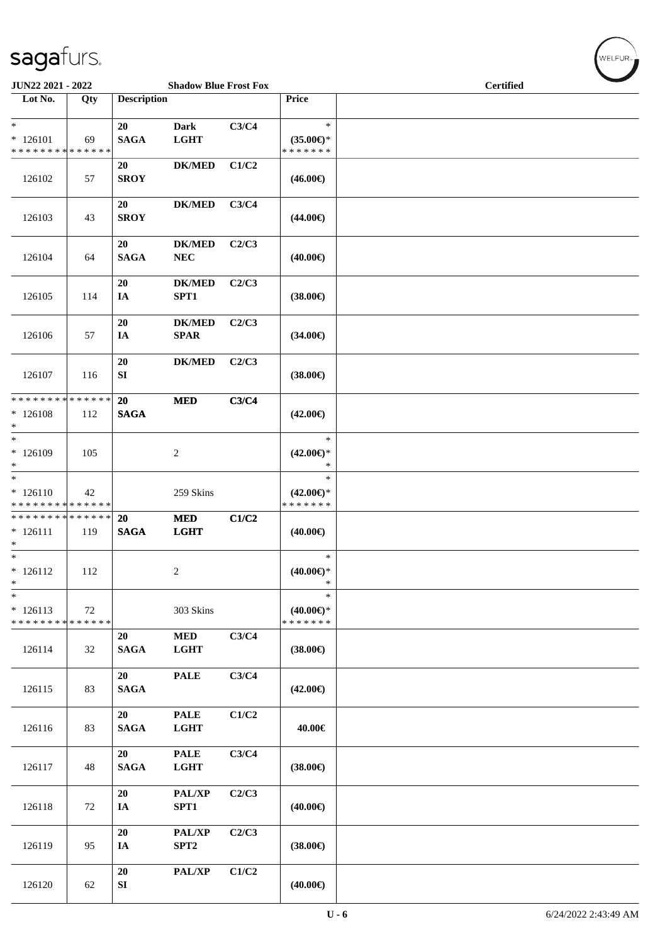| JUN22 2021 - 2022                                     |     |                    | <b>Shadow Blue Frost Fox</b> |       |                                                | <b>Certified</b> |  |
|-------------------------------------------------------|-----|--------------------|------------------------------|-------|------------------------------------------------|------------------|--|
| Lot No.                                               | Qty | <b>Description</b> |                              |       | Price                                          |                  |  |
| $\ast$<br>$* 126101$<br>* * * * * * * * * * * * * *   | 69  | 20<br><b>SAGA</b>  | <b>Dark</b><br><b>LGHT</b>   | C3/C4 | $\ast$<br>$(35.00\epsilon)$ *<br>* * * * * * * |                  |  |
| 126102                                                | 57  | 20<br><b>SROY</b>  | $DK/MED$                     | C1/C2 | $(46.00\epsilon)$                              |                  |  |
| 126103                                                | 43  | 20<br><b>SROY</b>  | <b>DK/MED</b>                | C3/C4 | $(44.00\epsilon)$                              |                  |  |
| 126104                                                | 64  | 20<br><b>SAGA</b>  | <b>DK/MED</b><br><b>NEC</b>  | C2/C3 | $(40.00\epsilon)$                              |                  |  |
| 126105                                                | 114 | 20<br>IA           | <b>DK/MED</b><br>SPT1        | C2/C3 | $(38.00\epsilon)$                              |                  |  |
| 126106                                                | 57  | 20<br>IA           | <b>DK/MED</b><br>SPAR        | C2/C3 | $(34.00\epsilon)$                              |                  |  |
| 126107                                                | 116 | 20<br>${\bf SI}$   | $DK/MED$                     | C2/C3 | $(38.00\epsilon)$                              |                  |  |
| * * * * * * * * * * * * * * *<br>$*126108$<br>$*$     | 112 | 20<br><b>SAGA</b>  | <b>MED</b>                   | C3/C4 | $(42.00\epsilon)$                              |                  |  |
| $*$<br>$*126109$<br>$*$                               | 105 |                    | $\overline{2}$               |       | $\ast$<br>$(42.00\epsilon)$ *<br>$\ast$        |                  |  |
| $*$<br>$* 126110$<br>* * * * * * * * * * * * * *      | 42  |                    | 259 Skins                    |       | $\ast$<br>$(42.00\epsilon)$ *<br>* * * * * * * |                  |  |
| * * * * * * * * * * * * * * *<br>$* 126111$<br>$\ast$ | 119 | 20<br><b>SAGA</b>  | <b>MED</b><br><b>LGHT</b>    | C1/C2 | $(40.00\epsilon)$                              |                  |  |
| $*$<br>$* 126112$<br>$\ast$                           | 112 |                    | 2                            |       | $\ast$<br>$(40.00\epsilon)$ *<br>$\ast$        |                  |  |
| $\ast$<br>$* 126113$<br>* * * * * * * * * * * * * *   | 72  |                    | 303 Skins                    |       | $\ast$<br>$(40.00\epsilon)$ *<br>* * * * * * * |                  |  |
| 126114                                                | 32  | 20<br><b>SAGA</b>  | $\bf MED$<br><b>LGHT</b>     | C3/C4 | $(38.00\epsilon)$                              |                  |  |
| 126115                                                | 83  | 20<br><b>SAGA</b>  | <b>PALE</b>                  | C3/C4 | $(42.00\epsilon)$                              |                  |  |
| 126116                                                | 83  | 20<br><b>SAGA</b>  | <b>PALE</b><br><b>LGHT</b>   | C1/C2 | 40.00€                                         |                  |  |
| 126117                                                | 48  | 20<br><b>SAGA</b>  | <b>PALE</b><br><b>LGHT</b>   | C3/C4 | $(38.00\epsilon)$                              |                  |  |
| 126118                                                | 72  | 20<br>IA           | PAL/XP<br>SPT1               | C2/C3 | $(40.00\epsilon)$                              |                  |  |
| 126119                                                | 95  | 20<br>IA           | PAL/XP<br>SPT <sub>2</sub>   | C2/C3 | $(38.00\epsilon)$                              |                  |  |
| 126120                                                | 62  | 20<br>SI           | PAL/XP                       | C1/C2 | $(40.00\epsilon)$                              |                  |  |

 $w$ ELFUR<sub>m</sub>